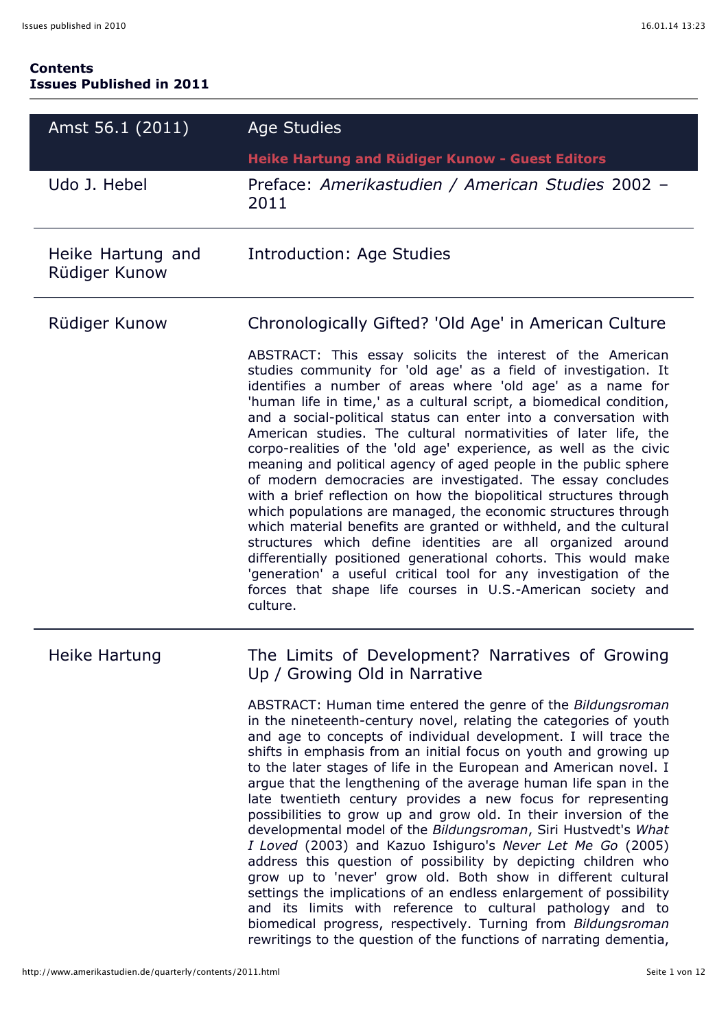#### **Contents Issues Published in 2011**

| Amst 56.1 (2011)                   | <b>Age Studies</b>                                                                                                                                                                                                                                                                                                                                                                                                                                                                                                                                                                                                                                                                                                                                                                                                                                                                                                                                                                                                                                                                                              |
|------------------------------------|-----------------------------------------------------------------------------------------------------------------------------------------------------------------------------------------------------------------------------------------------------------------------------------------------------------------------------------------------------------------------------------------------------------------------------------------------------------------------------------------------------------------------------------------------------------------------------------------------------------------------------------------------------------------------------------------------------------------------------------------------------------------------------------------------------------------------------------------------------------------------------------------------------------------------------------------------------------------------------------------------------------------------------------------------------------------------------------------------------------------|
|                                    | Heike Hartung and Rüdiger Kunow - Guest Editors                                                                                                                                                                                                                                                                                                                                                                                                                                                                                                                                                                                                                                                                                                                                                                                                                                                                                                                                                                                                                                                                 |
| Udo J. Hebel                       | Preface: Amerikastudien / American Studies 2002 -<br>2011                                                                                                                                                                                                                                                                                                                                                                                                                                                                                                                                                                                                                                                                                                                                                                                                                                                                                                                                                                                                                                                       |
| Heike Hartung and<br>Rüdiger Kunow | Introduction: Age Studies                                                                                                                                                                                                                                                                                                                                                                                                                                                                                                                                                                                                                                                                                                                                                                                                                                                                                                                                                                                                                                                                                       |
| Rüdiger Kunow                      | Chronologically Gifted? 'Old Age' in American Culture                                                                                                                                                                                                                                                                                                                                                                                                                                                                                                                                                                                                                                                                                                                                                                                                                                                                                                                                                                                                                                                           |
|                                    | ABSTRACT: This essay solicits the interest of the American<br>studies community for 'old age' as a field of investigation. It<br>identifies a number of areas where 'old age' as a name for<br>'human life in time,' as a cultural script, a biomedical condition,<br>and a social-political status can enter into a conversation with<br>American studies. The cultural normativities of later life, the<br>corpo-realities of the 'old age' experience, as well as the civic<br>meaning and political agency of aged people in the public sphere<br>of modern democracies are investigated. The essay concludes<br>with a brief reflection on how the biopolitical structures through<br>which populations are managed, the economic structures through<br>which material benefits are granted or withheld, and the cultural<br>structures which define identities are all organized around<br>differentially positioned generational cohorts. This would make<br>'generation' a useful critical tool for any investigation of the<br>forces that shape life courses in U.S.-American society and<br>culture. |
| Heike Hartung                      | The Limits of Development? Narratives of Growing<br>Up / Growing Old in Narrative                                                                                                                                                                                                                                                                                                                                                                                                                                                                                                                                                                                                                                                                                                                                                                                                                                                                                                                                                                                                                               |
|                                    | ABSTRACT: Human time entered the genre of the Bildungsroman<br>in the nineteenth-century novel, relating the categories of youth<br>and age to concepts of individual development. I will trace the<br>shifts in emphasis from an initial focus on youth and growing up<br>to the later stages of life in the European and American novel. I<br>argue that the lengthening of the average human life span in the<br>late twentieth century provides a new focus for representing<br>possibilities to grow up and grow old. In their inversion of the<br>developmental model of the Bildungsroman, Siri Hustvedt's What<br>I Loved (2003) and Kazuo Ishiguro's Never Let Me Go (2005)<br>address this question of possibility by depicting children who<br>grow up to 'never' grow old. Both show in different cultural<br>settings the implications of an endless enlargement of possibility<br>and its limits with reference to cultural pathology and to<br>biomedical progress, respectively. Turning from Bildungsroman<br>rewritings to the question of the functions of narrating dementia,               |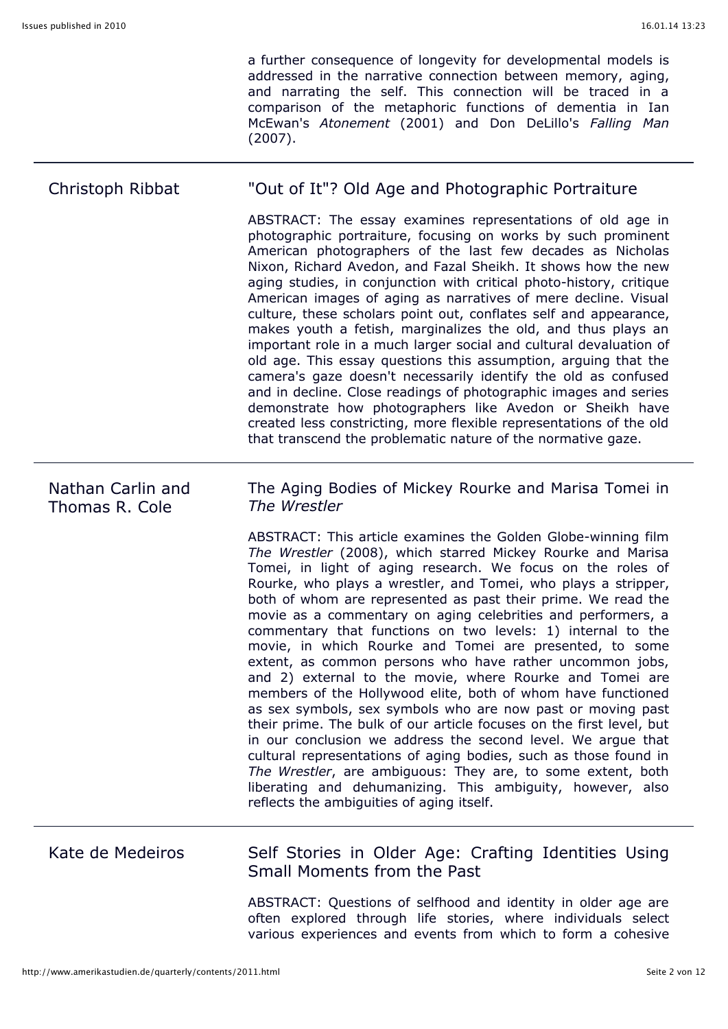a further consequence of longevity for developmental models is addressed in the narrative connection between memory, aging, and narrating the self. This connection will be traced in a comparison of the metaphoric functions of dementia in Ian McEwan's *Atonement* (2001) and Don DeLillo's *Falling Man* (2007).

#### Christoph Ribbat "Out of It"? Old Age and Photographic Portraiture ABSTRACT: The essay examines representations of old age in photographic portraiture, focusing on works by such prominent American photographers of the last few decades as Nicholas Nixon, Richard Avedon, and Fazal Sheikh. It shows how the new aging studies, in conjunction with critical photo-history, critique American images of aging as narratives of mere decline. Visual culture, these scholars point out, conflates self and appearance, makes youth a fetish, marginalizes the old, and thus plays an important role in a much larger social and cultural devaluation of old age. This essay questions this assumption, arguing that the camera's gaze doesn't necessarily identify the old as confused and in decline. Close readings of photographic images and series demonstrate how photographers like Avedon or Sheikh have created less constricting, more flexible representations of the old that transcend the problematic nature of the normative gaze. Nathan Carlin and Thomas R. Cole The Aging Bodies of Mickey Rourke and Marisa Tomei in *The Wrestler* ABSTRACT: This article examines the Golden Globe-winning film *The Wrestler* (2008), which starred Mickey Rourke and Marisa Tomei, in light of aging research. We focus on the roles of Rourke, who plays a wrestler, and Tomei, who plays a stripper, both of whom are represented as past their prime. We read the movie as a commentary on aging celebrities and performers, a commentary that functions on two levels: 1) internal to the movie, in which Rourke and Tomei are presented, to some extent, as common persons who have rather uncommon jobs, and 2) external to the movie, where Rourke and Tomei are members of the Hollywood elite, both of whom have functioned as sex symbols, sex symbols who are now past or moving past their prime. The bulk of our article focuses on the first level, but in our conclusion we address the second level. We argue that cultural representations of aging bodies, such as those found in *The Wrestler*, are ambiguous: They are, to some extent, both liberating and dehumanizing. This ambiguity, however, also

# Kate de Medeiros Self Stories in Older Age: Crafting Identities Using Small Moments from the Past

reflects the ambiguities of aging itself.

ABSTRACT: Questions of selfhood and identity in older age are often explored through life stories, where individuals select various experiences and events from which to form a cohesive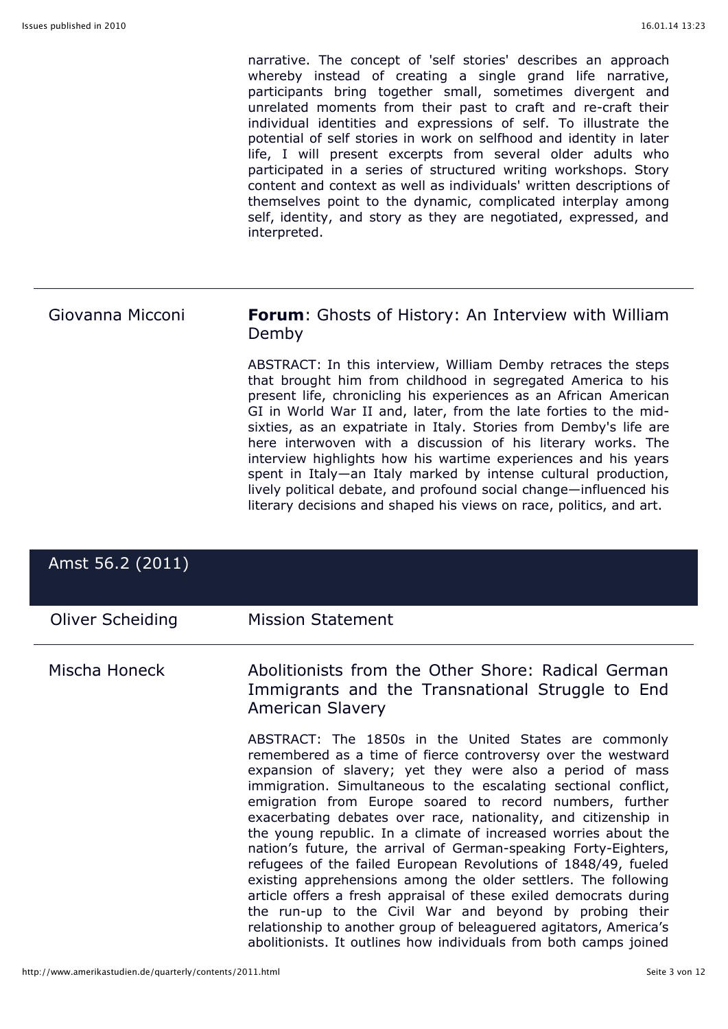narrative. The concept of 'self stories' describes an approach whereby instead of creating a single grand life narrative, participants bring together small, sometimes divergent and unrelated moments from their past to craft and re-craft their individual identities and expressions of self. To illustrate the potential of self stories in work on selfhood and identity in later life, I will present excerpts from several older adults who participated in a series of structured writing workshops. Story content and context as well as individuals' written descriptions of themselves point to the dynamic, complicated interplay among self, identity, and story as they are negotiated, expressed, and interpreted.

### Giovanna Micconi **Forum**: Ghosts of History: An Interview with William Demby

ABSTRACT: In this interview, William Demby retraces the steps that brought him from childhood in segregated America to his present life, chronicling his experiences as an African American GI in World War II and, later, from the late forties to the midsixties, as an expatriate in Italy. Stories from Demby's life are here interwoven with a discussion of his literary works. The interview highlights how his wartime experiences and his years spent in Italy—an Italy marked by intense cultural production, lively political debate, and profound social change—influenced his literary decisions and shaped his views on race, politics, and art.

| Amst 56.2 (2011) |                                                                                                                                                                                                                                                                                                                                                                                                                                                                                                                                                                                                                                                                                                                                                                                                                                                                                                                                          |
|------------------|------------------------------------------------------------------------------------------------------------------------------------------------------------------------------------------------------------------------------------------------------------------------------------------------------------------------------------------------------------------------------------------------------------------------------------------------------------------------------------------------------------------------------------------------------------------------------------------------------------------------------------------------------------------------------------------------------------------------------------------------------------------------------------------------------------------------------------------------------------------------------------------------------------------------------------------|
| Oliver Scheiding | <b>Mission Statement</b>                                                                                                                                                                                                                                                                                                                                                                                                                                                                                                                                                                                                                                                                                                                                                                                                                                                                                                                 |
| Mischa Honeck    | Abolitionists from the Other Shore: Radical German<br>Immigrants and the Transnational Struggle to End<br><b>American Slavery</b>                                                                                                                                                                                                                                                                                                                                                                                                                                                                                                                                                                                                                                                                                                                                                                                                        |
|                  | ABSTRACT: The 1850s in the United States are commonly<br>remembered as a time of fierce controversy over the westward<br>expansion of slavery; yet they were also a period of mass<br>immigration. Simultaneous to the escalating sectional conflict,<br>emigration from Europe soared to record numbers, further<br>exacerbating debates over race, nationality, and citizenship in<br>the young republic. In a climate of increased worries about the<br>nation's future, the arrival of German-speaking Forty-Eighters,<br>refugees of the failed European Revolutions of 1848/49, fueled<br>existing apprehensions among the older settlers. The following<br>article offers a fresh appraisal of these exiled democrats during<br>the run-up to the Civil War and beyond by probing their<br>relationship to another group of beleaguered agitators, America's<br>abolitionists. It outlines how individuals from both camps joined |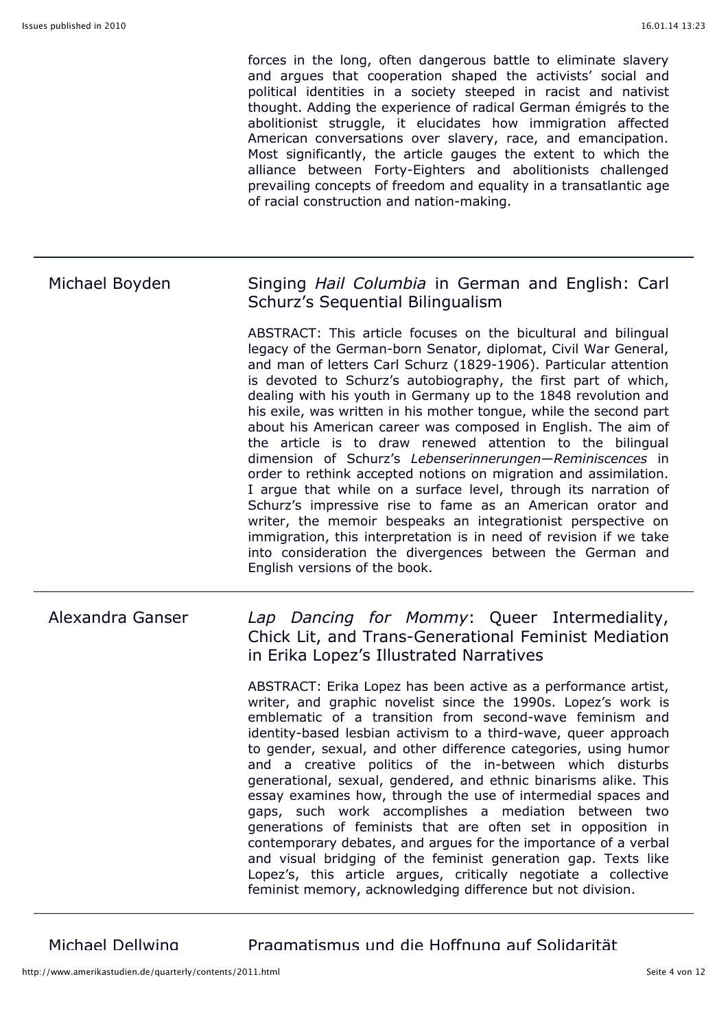forces in the long, often dangerous battle to eliminate slavery and argues that cooperation shaped the activists' social and political identities in a society steeped in racist and nativist thought. Adding the experience of radical German émigrés to the abolitionist struggle, it elucidates how immigration affected American conversations over slavery, race, and emancipation. Most significantly, the article gauges the extent to which the alliance between Forty-Eighters and abolitionists challenged prevailing concepts of freedom and equality in a transatlantic age of racial construction and nation-making.

## Michael Boyden Singing *Hail Columbia* in German and English: Carl Schurz's Sequential Bilingualism

ABSTRACT: This article focuses on the bicultural and bilingual legacy of the German-born Senator, diplomat, Civil War General, and man of letters Carl Schurz (1829-1906). Particular attention is devoted to Schurz's autobiography, the first part of which, dealing with his youth in Germany up to the 1848 revolution and his exile, was written in his mother tongue, while the second part about his American career was composed in English. The aim of the article is to draw renewed attention to the bilingual dimension of Schurz's *Lebenserinnerungen—Reminiscences* in order to rethink accepted notions on migration and assimilation. I argue that while on a surface level, through its narration of Schurz's impressive rise to fame as an American orator and writer, the memoir bespeaks an integrationist perspective on immigration, this interpretation is in need of revision if we take into consideration the divergences between the German and English versions of the book.

#### Alexandra Ganser *Lap Dancing for Mommy*: Queer Intermediality, Chick Lit, and Trans-Generational Feminist Mediation in Erika Lopez's Illustrated Narratives

ABSTRACT: Erika Lopez has been active as a performance artist, writer, and graphic novelist since the 1990s. Lopez's work is emblematic of a transition from second-wave feminism and identity-based lesbian activism to a third-wave, queer approach to gender, sexual, and other difference categories, using humor and a creative politics of the in-between which disturbs generational, sexual, gendered, and ethnic binarisms alike. This essay examines how, through the use of intermedial spaces and gaps, such work accomplishes a mediation between two generations of feminists that are often set in opposition in contemporary debates, and argues for the importance of a verbal and visual bridging of the feminist generation gap. Texts like Lopez's, this article argues, critically negotiate a collective feminist memory, acknowledging difference but not division.

Michael Dellwing Pragmatismus und die Hoffnung auf Solidarität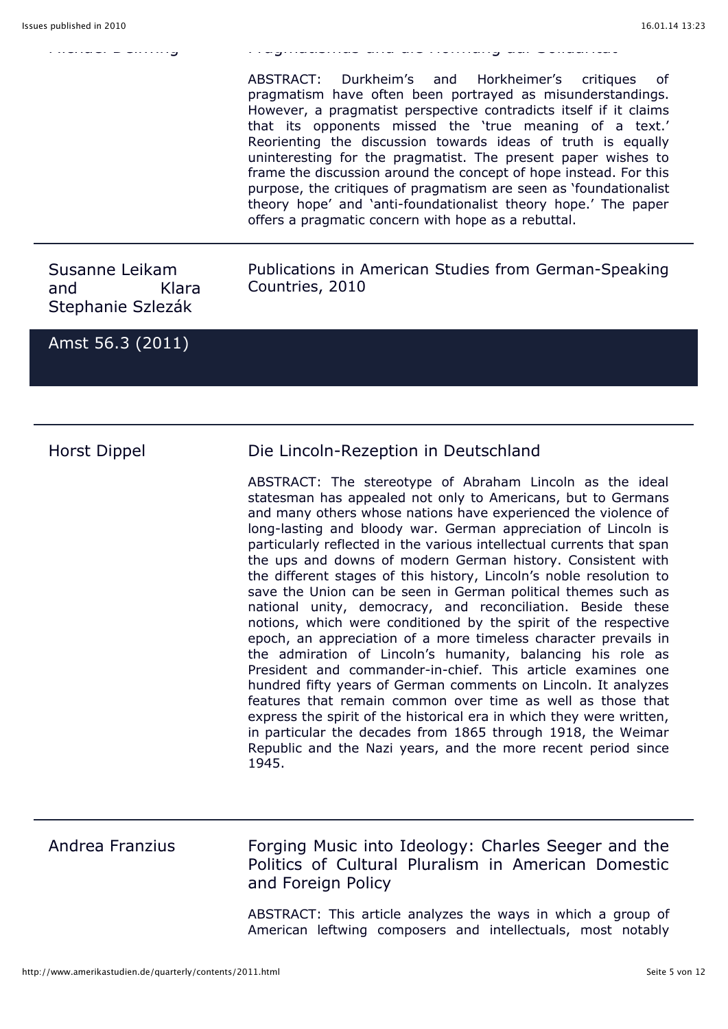ABSTRACT: Durkheim's and Horkheimer's critiques pragmatism have often been portrayed as misunderstandings. However, a pragmatist perspective contradicts itself if it claims that its opponents missed the 'true meaning of a text.' Reorienting the discussion towards ideas of truth is equally uninteresting for the pragmatist. The present paper wishes to frame the discussion around the concept of hope instead. For this purpose, the critiques of pragmatism are seen as 'foundationalist theory hope' and 'anti-foundationalist theory hope.' The paper offers a pragmatic concern with hope as a rebuttal.

Susanne Leikam and Klara Stephanie Szlezák

Publications in American Studies from German-Speaking Countries, 2010

Amst 56.3 (2011)

Horst Dippel Die Lincoln-Rezeption in Deutschland

Michael Dellwing Pragmatismus und die Hoffnung auf Solidarität

ABSTRACT: The stereotype of Abraham Lincoln as the ideal statesman has appealed not only to Americans, but to Germans and many others whose nations have experienced the violence of long-lasting and bloody war. German appreciation of Lincoln is particularly reflected in the various intellectual currents that span the ups and downs of modern German history. Consistent with the different stages of this history, Lincoln's noble resolution to save the Union can be seen in German political themes such as national unity, democracy, and reconciliation. Beside these notions, which were conditioned by the spirit of the respective epoch, an appreciation of a more timeless character prevails in the admiration of Lincoln's humanity, balancing his role as President and commander-in-chief. This article examines one hundred fifty years of German comments on Lincoln. It analyzes features that remain common over time as well as those that express the spirit of the historical era in which they were written, in particular the decades from 1865 through 1918, the Weimar Republic and the Nazi years, and the more recent period since 1945.

Andrea Franzius Forging Music into Ideology: Charles Seeger and the Politics of Cultural Pluralism in American Domestic and Foreign Policy

> ABSTRACT: This article analyzes the ways in which a group of American leftwing composers and intellectuals, most notably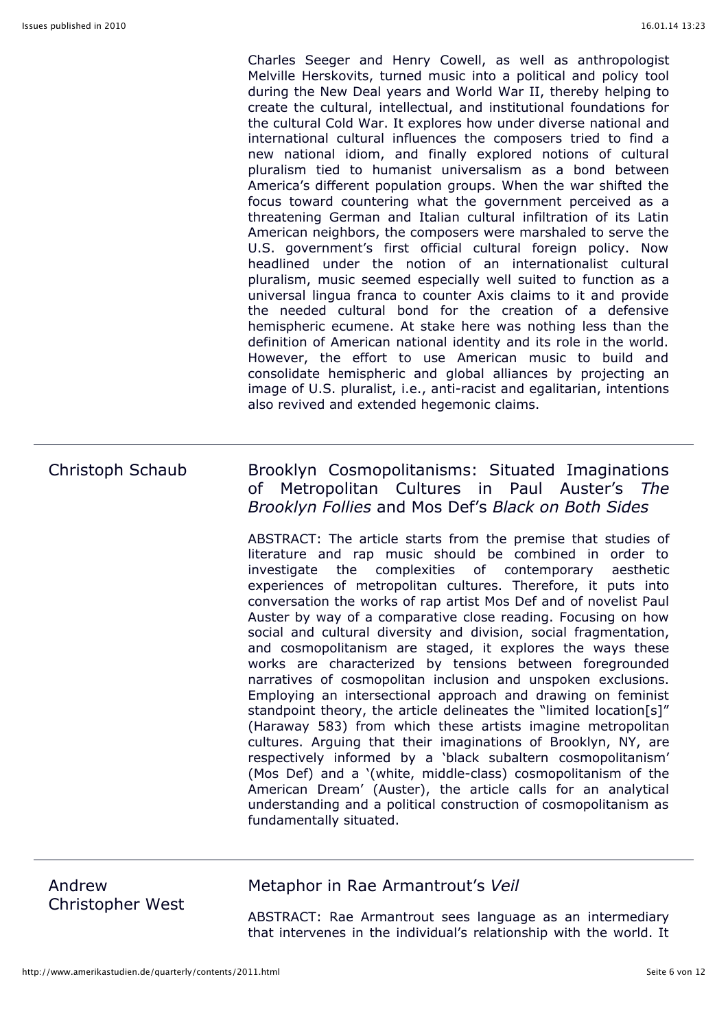Charles Seeger and Henry Cowell, as well as anthropologist Melville Herskovits, turned music into a political and policy tool during the New Deal years and World War II, thereby helping to create the cultural, intellectual, and institutional foundations for the cultural Cold War. It explores how under diverse national and international cultural influences the composers tried to find a new national idiom, and finally explored notions of cultural pluralism tied to humanist universalism as a bond between America's different population groups. When the war shifted the focus toward countering what the government perceived as a threatening German and Italian cultural infiltration of its Latin American neighbors, the composers were marshaled to serve the U.S. government's first official cultural foreign policy. Now headlined under the notion of an internationalist cultural pluralism, music seemed especially well suited to function as a universal lingua franca to counter Axis claims to it and provide the needed cultural bond for the creation of a defensive hemispheric ecumene. At stake here was nothing less than the definition of American national identity and its role in the world. However, the effort to use American music to build and consolidate hemispheric and global alliances by projecting an image of U.S. pluralist, i.e., anti-racist and egalitarian, intentions also revived and extended hegemonic claims.

### Christoph Schaub Brooklyn Cosmopolitanisms: Situated Imaginations of Metropolitan Cultures in Paul Auster's *The Brooklyn Follies* and Mos Def's *Black on Both Sides*

ABSTRACT: The article starts from the premise that studies of literature and rap music should be combined in order to investigate the complexities of contemporary aesthetic experiences of metropolitan cultures. Therefore, it puts into conversation the works of rap artist Mos Def and of novelist Paul Auster by way of a comparative close reading. Focusing on how social and cultural diversity and division, social fragmentation, and cosmopolitanism are staged, it explores the ways these works are characterized by tensions between foregrounded narratives of cosmopolitan inclusion and unspoken exclusions. Employing an intersectional approach and drawing on feminist standpoint theory, the article delineates the "limited location[s]" (Haraway 583) from which these artists imagine metropolitan cultures. Arguing that their imaginations of Brooklyn, NY, are respectively informed by a 'black subaltern cosmopolitanism' (Mos Def) and a '(white, middle-class) cosmopolitanism of the American Dream' (Auster), the article calls for an analytical understanding and a political construction of cosmopolitanism as fundamentally situated.

| Andrew           |  |
|------------------|--|
| Christopher West |  |

#### Metaphor in Rae Armantrout's *Veil*

ABSTRACT: Rae Armantrout sees language as an intermediary that intervenes in the individual's relationship with the world. It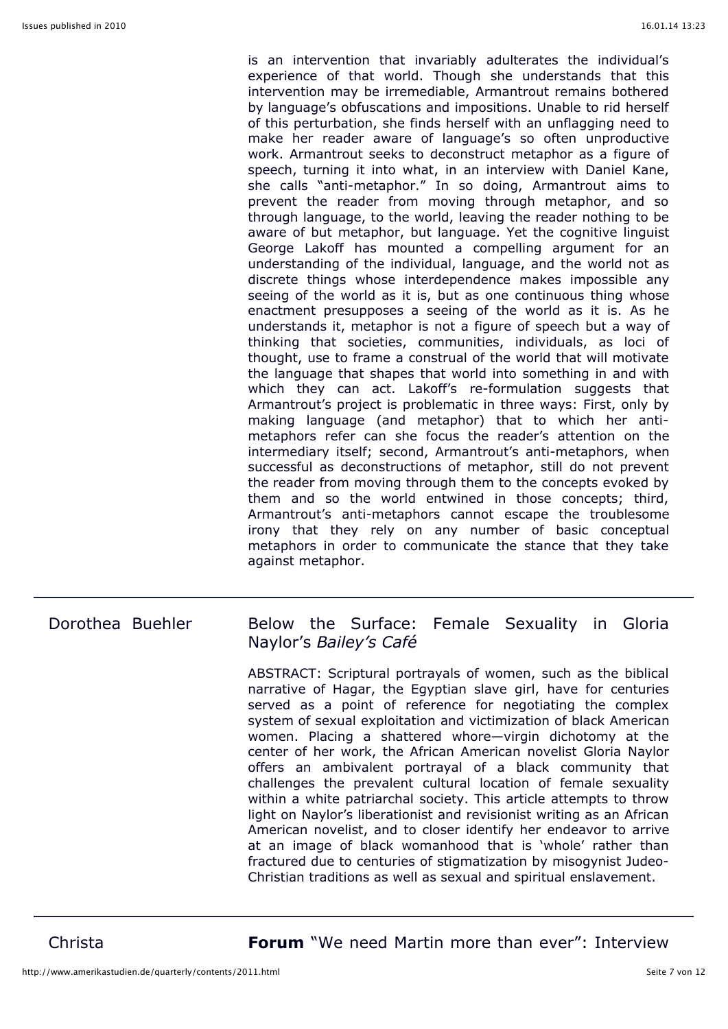is an intervention that invariably adulterates the individual's experience of that world. Though she understands that this intervention may be irremediable, Armantrout remains bothered by language's obfuscations and impositions. Unable to rid herself of this perturbation, she finds herself with an unflagging need to make her reader aware of language's so often unproductive work. Armantrout seeks to deconstruct metaphor as a figure of speech, turning it into what, in an interview with Daniel Kane, she calls "anti-metaphor." In so doing, Armantrout aims to prevent the reader from moving through metaphor, and so through language, to the world, leaving the reader nothing to be aware of but metaphor, but language. Yet the cognitive linguist George Lakoff has mounted a compelling argument for an understanding of the individual, language, and the world not as discrete things whose interdependence makes impossible any seeing of the world as it is, but as one continuous thing whose enactment presupposes a seeing of the world as it is. As he understands it, metaphor is not a figure of speech but a way of thinking that societies, communities, individuals, as loci of thought, use to frame a construal of the world that will motivate the language that shapes that world into something in and with which they can act. Lakoff's re-formulation suggests that Armantrout's project is problematic in three ways: First, only by making language (and metaphor) that to which her antimetaphors refer can she focus the reader's attention on the intermediary itself; second, Armantrout's anti-metaphors, when successful as deconstructions of metaphor, still do not prevent the reader from moving through them to the concepts evoked by them and so the world entwined in those concepts; third, Armantrout's anti-metaphors cannot escape the troublesome irony that they rely on any number of basic conceptual metaphors in order to communicate the stance that they take against metaphor.

#### Dorothea Buehler Below the Surface: Female Sexuality in Gloria Naylor's *Bailey's Café*

ABSTRACT: Scriptural portrayals of women, such as the biblical narrative of Hagar, the Egyptian slave girl, have for centuries served as a point of reference for negotiating the complex system of sexual exploitation and victimization of black American women. Placing a shattered whore—virgin dichotomy at the center of her work, the African American novelist Gloria Naylor offers an ambivalent portrayal of a black community that challenges the prevalent cultural location of female sexuality within a white patriarchal society. This article attempts to throw light on Naylor's liberationist and revisionist writing as an African American novelist, and to closer identify her endeavor to arrive at an image of black womanhood that is 'whole' rather than fractured due to centuries of stigmatization by misogynist Judeo-Christian traditions as well as sexual and spiritual enslavement.

Christa **Forum** "We need Martin more than ever": Interview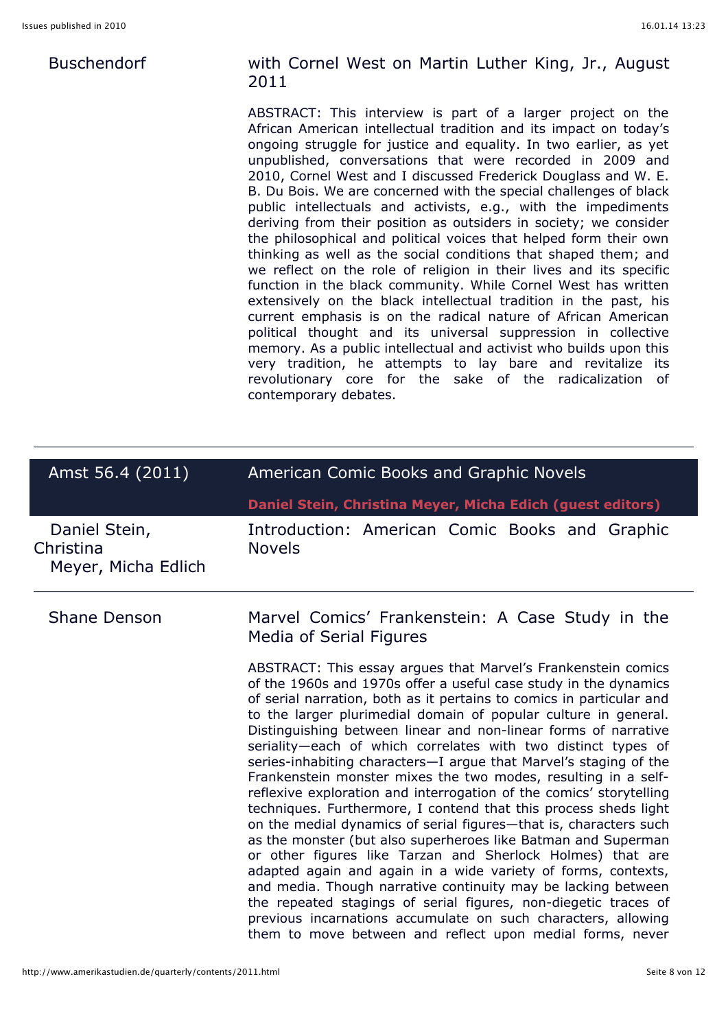#### Buschendorf

#### with Cornel West on Martin Luther King, Jr., August 2011

ABSTRACT: This interview is part of a larger project on the African American intellectual tradition and its impact on today's ongoing struggle for justice and equality. In two earlier, as yet unpublished, conversations that were recorded in 2009 and 2010, Cornel West and I discussed Frederick Douglass and W. E. B. Du Bois. We are concerned with the special challenges of black public intellectuals and activists, e.g., with the impediments deriving from their position as outsiders in society; we consider the philosophical and political voices that helped form their own thinking as well as the social conditions that shaped them; and we reflect on the role of religion in their lives and its specific function in the black community. While Cornel West has written extensively on the black intellectual tradition in the past, his current emphasis is on the radical nature of African American political thought and its universal suppression in collective memory. As a public intellectual and activist who builds upon this very tradition, he attempts to lay bare and revitalize its revolutionary core for the sake of the radicalization of contemporary debates.

| Amst 56.4 (2011)                                  | American Comic Books and Graphic Novels                                                                                                                                                                                                                                                                                                                                                                                                                                                                                                                                                                                                                                                                                                                                                                                                                                                                                                                                                                                                                                                                                                                                                                                                   |  |
|---------------------------------------------------|-------------------------------------------------------------------------------------------------------------------------------------------------------------------------------------------------------------------------------------------------------------------------------------------------------------------------------------------------------------------------------------------------------------------------------------------------------------------------------------------------------------------------------------------------------------------------------------------------------------------------------------------------------------------------------------------------------------------------------------------------------------------------------------------------------------------------------------------------------------------------------------------------------------------------------------------------------------------------------------------------------------------------------------------------------------------------------------------------------------------------------------------------------------------------------------------------------------------------------------------|--|
|                                                   | Daniel Stein, Christina Meyer, Micha Edich (guest editors)                                                                                                                                                                                                                                                                                                                                                                                                                                                                                                                                                                                                                                                                                                                                                                                                                                                                                                                                                                                                                                                                                                                                                                                |  |
| Daniel Stein,<br>Christina<br>Meyer, Micha Edlich | Introduction: American Comic Books and Graphic<br><b>Novels</b>                                                                                                                                                                                                                                                                                                                                                                                                                                                                                                                                                                                                                                                                                                                                                                                                                                                                                                                                                                                                                                                                                                                                                                           |  |
| <b>Shane Denson</b>                               | Marvel Comics' Frankenstein: A Case Study in the<br>Media of Serial Figures                                                                                                                                                                                                                                                                                                                                                                                                                                                                                                                                                                                                                                                                                                                                                                                                                                                                                                                                                                                                                                                                                                                                                               |  |
|                                                   | ABSTRACT: This essay argues that Marvel's Frankenstein comics<br>of the 1960s and 1970s offer a useful case study in the dynamics<br>of serial narration, both as it pertains to comics in particular and<br>to the larger plurimedial domain of popular culture in general.<br>Distinguishing between linear and non-linear forms of narrative<br>seriality-each of which correlates with two distinct types of<br>series-inhabiting characters-I argue that Marvel's staging of the<br>Frankenstein monster mixes the two modes, resulting in a self-<br>reflexive exploration and interrogation of the comics' storytelling<br>techniques. Furthermore, I contend that this process sheds light<br>on the medial dynamics of serial figures—that is, characters such<br>as the monster (but also superheroes like Batman and Superman<br>or other figures like Tarzan and Sherlock Holmes) that are<br>adapted again and again in a wide variety of forms, contexts,<br>and media. Though narrative continuity may be lacking between<br>the repeated stagings of serial figures, non-diegetic traces of<br>previous incarnations accumulate on such characters, allowing<br>them to move between and reflect upon medial forms, never |  |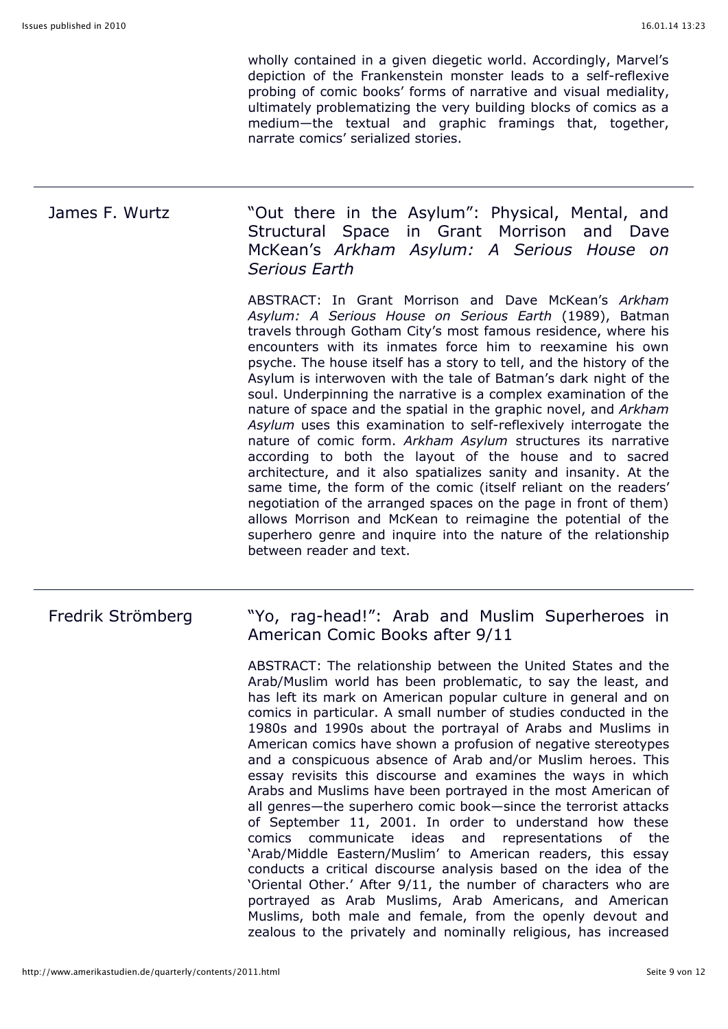wholly contained in a given diegetic world. Accordingly, Marvel's depiction of the Frankenstein monster leads to a self-reflexive probing of comic books' forms of narrative and visual mediality, ultimately problematizing the very building blocks of comics as a medium—the textual and graphic framings that, together, narrate comics' serialized stories.

James F. Wurtz **Willem State Wout there in the Asylum**": Physical, Mental, and Structural Space in Grant Morrison and Dave McKean's *Arkham Asylum: A Serious House on Serious Earth*

> ABSTRACT: In Grant Morrison and Dave McKean's *Arkham Asylum: A Serious House on Serious Earth* (1989), Batman travels through Gotham City's most famous residence, where his encounters with its inmates force him to reexamine his own psyche. The house itself has a story to tell, and the history of the Asylum is interwoven with the tale of Batman's dark night of the soul. Underpinning the narrative is a complex examination of the nature of space and the spatial in the graphic novel, and *Arkham Asylum* uses this examination to self-reflexively interrogate the nature of comic form. *Arkham Asylum* structures its narrative according to both the layout of the house and to sacred architecture, and it also spatializes sanity and insanity. At the same time, the form of the comic (itself reliant on the readers' negotiation of the arranged spaces on the page in front of them) allows Morrison and McKean to reimagine the potential of the superhero genre and inquire into the nature of the relationship between reader and text.

#### Fredrik Strömberg "Yo, rag-head!": Arab and Muslim Superheroes in American Comic Books after 9/11

ABSTRACT: The relationship between the United States and the Arab/Muslim world has been problematic, to say the least, and has left its mark on American popular culture in general and on comics in particular. A small number of studies conducted in the 1980s and 1990s about the portrayal of Arabs and Muslims in American comics have shown a profusion of negative stereotypes and a conspicuous absence of Arab and/or Muslim heroes. This essay revisits this discourse and examines the ways in which Arabs and Muslims have been portrayed in the most American of all genres—the superhero comic book—since the terrorist attacks of September 11, 2001. In order to understand how these comics communicate ideas and representations of the 'Arab/Middle Eastern/Muslim' to American readers, this essay conducts a critical discourse analysis based on the idea of the 'Oriental Other.' After 9/11, the number of characters who are portrayed as Arab Muslims, Arab Americans, and American Muslims, both male and female, from the openly devout and zealous to the privately and nominally religious, has increased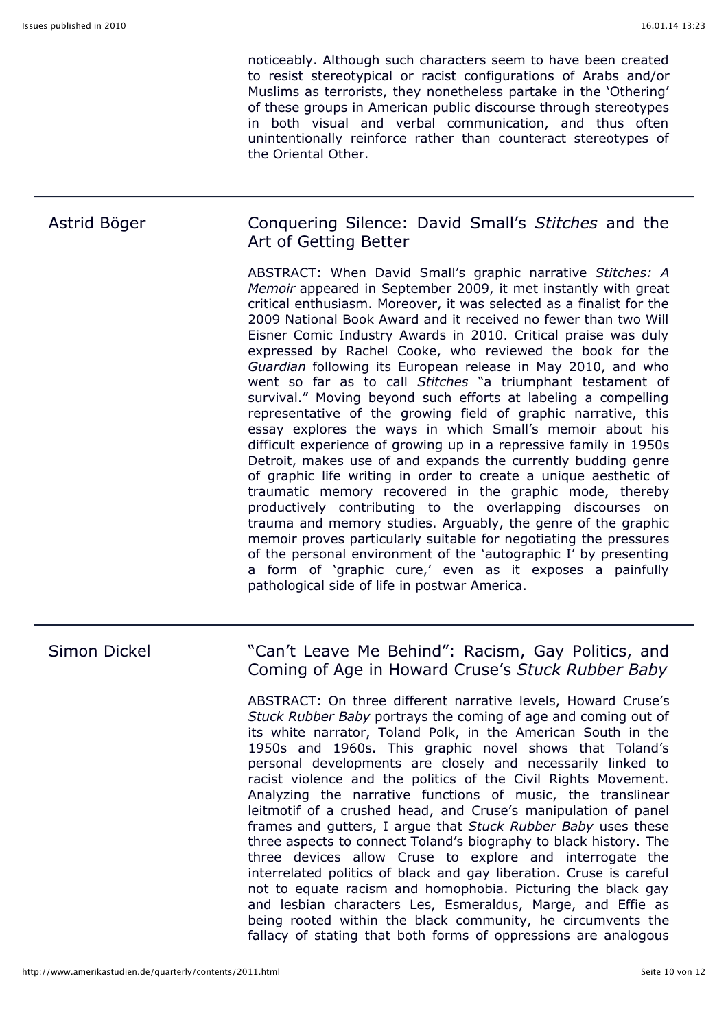noticeably. Although such characters seem to have been created to resist stereotypical or racist configurations of Arabs and/or Muslims as terrorists, they nonetheless partake in the 'Othering' of these groups in American public discourse through stereotypes in both visual and verbal communication, and thus often unintentionally reinforce rather than counteract stereotypes of the Oriental Other.

#### Astrid Böger Conquering Silence: David Small's *Stitches* and the Art of Getting Better

ABSTRACT: When David Small's graphic narrative *Stitches: A Memoir* appeared in September 2009, it met instantly with great critical enthusiasm. Moreover, it was selected as a finalist for the 2009 National Book Award and it received no fewer than two Will Eisner Comic Industry Awards in 2010. Critical praise was duly expressed by Rachel Cooke, who reviewed the book for the *Guardian* following its European release in May 2010, and who went so far as to call *Stitches* "a triumphant testament of survival." Moving beyond such efforts at labeling a compelling representative of the growing field of graphic narrative, this essay explores the ways in which Small's memoir about his difficult experience of growing up in a repressive family in 1950s Detroit, makes use of and expands the currently budding genre of graphic life writing in order to create a unique aesthetic of traumatic memory recovered in the graphic mode, thereby productively contributing to the overlapping discourses on trauma and memory studies. Arguably, the genre of the graphic memoir proves particularly suitable for negotiating the pressures of the personal environment of the 'autographic I' by presenting a form of 'graphic cure,' even as it exposes a painfully pathological side of life in postwar America.

#### Simon Dickel "Can't Leave Me Behind": Racism, Gay Politics, and Coming of Age in Howard Cruse's *Stuck Rubber Baby*

ABSTRACT: On three different narrative levels, Howard Cruse's *Stuck Rubber Baby* portrays the coming of age and coming out of its white narrator, Toland Polk, in the American South in the 1950s and 1960s. This graphic novel shows that Toland's personal developments are closely and necessarily linked to racist violence and the politics of the Civil Rights Movement. Analyzing the narrative functions of music, the translinear leitmotif of a crushed head, and Cruse's manipulation of panel frames and gutters, I argue that *Stuck Rubber Baby* uses these three aspects to connect Toland's biography to black history. The three devices allow Cruse to explore and interrogate the interrelated politics of black and gay liberation. Cruse is careful not to equate racism and homophobia. Picturing the black gay and lesbian characters Les, Esmeraldus, Marge, and Effie as being rooted within the black community, he circumvents the fallacy of stating that both forms of oppressions are analogous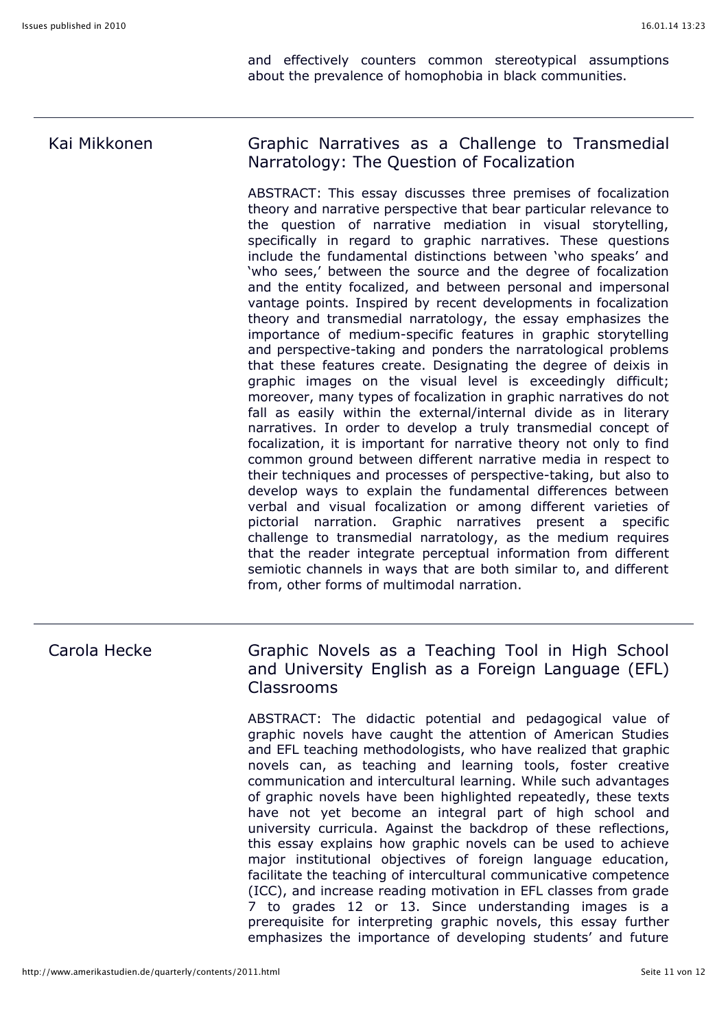and effectively counters common stereotypical assumptions about the prevalence of homophobia in black communities.

# Kai Mikkonen Graphic Narratives as a Challenge to Transmedial Narratology: The Question of Focalization

ABSTRACT: This essay discusses three premises of focalization theory and narrative perspective that bear particular relevance to the question of narrative mediation in visual storytelling, specifically in regard to graphic narratives. These questions include the fundamental distinctions between 'who speaks' and 'who sees,' between the source and the degree of focalization and the entity focalized, and between personal and impersonal vantage points. Inspired by recent developments in focalization theory and transmedial narratology, the essay emphasizes the importance of medium-specific features in graphic storytelling and perspective-taking and ponders the narratological problems that these features create. Designating the degree of deixis in graphic images on the visual level is exceedingly difficult; moreover, many types of focalization in graphic narratives do not fall as easily within the external/internal divide as in literary narratives. In order to develop a truly transmedial concept of focalization, it is important for narrative theory not only to find common ground between different narrative media in respect to their techniques and processes of perspective-taking, but also to develop ways to explain the fundamental differences between verbal and visual focalization or among different varieties of pictorial narration. Graphic narratives present a specific challenge to transmedial narratology, as the medium requires that the reader integrate perceptual information from different semiotic channels in ways that are both similar to, and different from, other forms of multimodal narration.

#### Carola Hecke Graphic Novels as a Teaching Tool in High School and University English as a Foreign Language (EFL) Classrooms

ABSTRACT: The didactic potential and pedagogical value of graphic novels have caught the attention of American Studies and EFL teaching methodologists, who have realized that graphic novels can, as teaching and learning tools, foster creative communication and intercultural learning. While such advantages of graphic novels have been highlighted repeatedly, these texts have not yet become an integral part of high school and university curricula. Against the backdrop of these reflections, this essay explains how graphic novels can be used to achieve major institutional objectives of foreign language education, facilitate the teaching of intercultural communicative competence (ICC), and increase reading motivation in EFL classes from grade 7 to grades 12 or 13. Since understanding images is a prerequisite for interpreting graphic novels, this essay further emphasizes the importance of developing students' and future